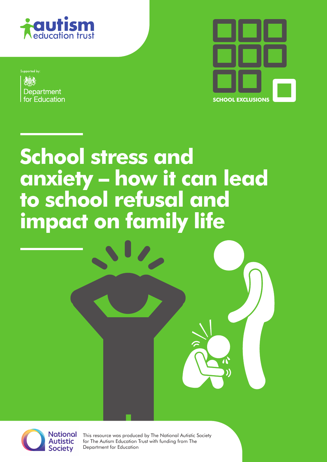

Supported by Department for Education



# **School stress and anxiety – how it can lead to school refusal and impact on family life**



This resource was produced by The National Autistic Society for The Autism Education Trust with funding from The Department for Education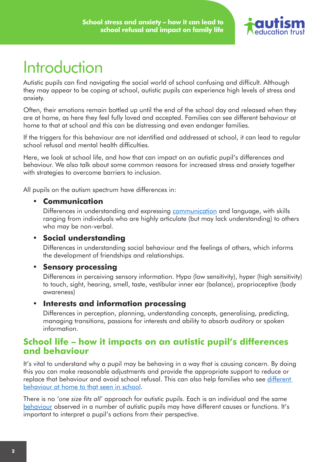

# **Introduction**

Autistic pupils can find navigating the social world of school confusing and difficult. Although they may appear to be coping at school, autistic pupils can experience high levels of stress and anxiety.

Often, their emotions remain bottled up until the end of the school day and released when they are at home, as here they feel fully loved and accepted. Families can see different behaviour at home to that at school and this can be distressing and even endanger families.

If the triggers for this behaviour are not identified and addressed at school, it can lead to regular school refusal and mental health difficulties.

Here, we look at school life, and how that can impact on an autistic pupil's differences and behaviour. We also talk about some common reasons for increased stress and anxiety together with strategies to overcome barriers to inclusion.

All pupils on the autism spectrum have differences in:

#### • **Communication**

Differences in understanding and expressing [communication](http://www.autism.org.uk/about/communication/communicating.aspx) and language, with skills ranging from individuals who are highly articulate (but may lack understanding) to others who may be non-verbal.

#### • **Social understanding**

Differences in understanding social behaviour and the feelings of others, which informs the development of friendships and relationships.

#### • **Sensory processing**

Differences in perceiving sensory information. Hypo (low sensitivity), hyper (high sensitivity) to touch, sight, hearing, smell, taste, vestibular inner ear (balance), proprioceptive (body awareness)

#### • **Interests and information processing**

Differences in perception, planning, understanding concepts, generalising, predicting, managing transitions, passions for interests and ability to absorb auditory or spoken information.

#### **School life – how it impacts on an autistic pupil's differences and behaviour**

It's vital to understand why a pupil may be behaving in a way that is causing concern. By doing this you can make reasonable adjustments and provide the appropriate support to reduce or replace that behaviour and avoid school refusal. This can also help families who see [different](http://www.autism.org.uk/about/behaviour/school-home.aspx)  [behaviour at home to that seen in school](http://www.autism.org.uk/about/behaviour/school-home.aspx).

There is no *'one size fits all'* approach for autistic pupils. Each is an individual and the same [behaviour](http://www.autism.org.uk/about/behaviour/guidelines.aspx) observed in a number of autistic pupils may have different causes or functions. It's important to interpret a pupil's actions from *their* perspective.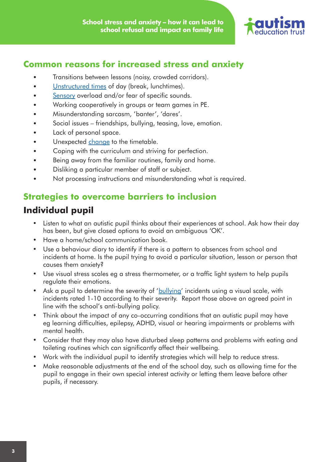

#### **Common reasons for increased stress and anxiety**

- Transitions between lessons (noisy, crowded corridors).
- [Unstructured times](http://www.autism.org.uk/professionals/teachers/unstructured-times.aspx) of day (break, lunchtimes).
- [Sensory](http://www.autism.org.uk/sensory) overload and/or fear of specific sounds.
- Working cooperatively in groups or team games in PE.
- Misunderstanding sarcasm, 'banter', 'dares'.
- Social issues friendships, bullying, teasing, love, emotion.
- Lack of personal space.
- Unexpected [change](http://www.autism.org.uk/about/behaviour/preparing-for-change.aspx) to the timetable.
- Coping with the curriculum and striving for perfection.
- Being away from the familiar routines, family and home.
- Disliking a particular member of staff or subject.
- Not processing instructions and misunderstanding what is required.

#### **Strategies to overcome barriers to inclusion**

# **Individual pupil**

- Listen to what an autistic pupil thinks about their experiences at school. Ask how their day has been, but give closed options to avoid an ambiguous 'OK'.
- Have a home/school communication book.
- Use a behaviour diary to identify if there is a pattern to absences from school and incidents at home. Is the pupil trying to avoid a particular situation, lesson or person that causes them anxiety?
- Use visual stress scales eg a stress thermometer, or a traffic light system to help pupils regulate their emotions.
- Ask a pupil to determine the severity of '[bullying'](http://www.autism.org.uk/professionals/teachers/bullying.aspx) incidents using a visual scale, with incidents rated 1-10 according to their severity. Report those above an agreed point in line with the school's anti-bullying policy.
- Think about the impact of any co-occurring conditions that an autistic pupil may have eg learning difficulties, epilepsy, ADHD, visual or hearing impairments or problems with mental health.
- Consider that they may also have disturbed sleep patterns and problems with eating and toileting routines which can significantly affect their wellbeing.
- Work with the individual pupil to identify strategies which will help to reduce stress.
- Make reasonable adjustments at the end of the school day, such as allowing time for the pupil to engage in their own special interest activity or letting them leave before other pupils, if necessary.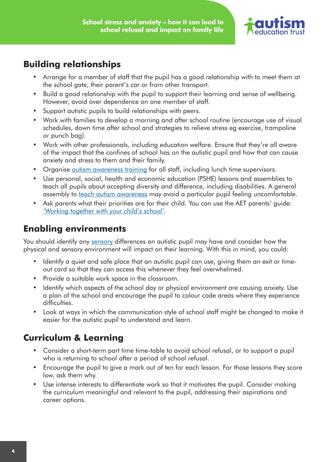

### **Building relationships**

- Arrange for a member of staff that the pupil has a good relationship with to meet them at the school gate, their parent's car or from other transport.
- • Build a good relationship with the pupil to support their learning and sense of wellbeing. However, avoid over dependence on one member of staff.
- Support autistic pupils to build relationships with peers.
- Work with families to develop a morning and after school routine (encourage use of visual schedules, down time after school and strategies to relieve stress eg exercise, trampoline or punch bag).
- Work with other professionals, including education welfare. Ensure that they're all aware of the impact that the confines of school has on the autistic pupil and how that can cause anxiety and stress to them and their family.
- Organise [autism awareness training](http://www.autism.org.uk/professionals/training-consultancy/online/understanding.aspx) for all staff, including lunch time supervisors.
- Use personal, social, health and economic education (PSHE) lessons and assemblies to teach all pupils about accepting diversity and difference, including disabilities. A general assembly to [teach autism awareness](http://www.autism.org.uk/professionals/teachers/classroom/lesson-guide.aspx) may avoid a particular pupil feeling uncomfortable.
- Ask parents what their priorities are for their child. You can use the AET parents' guide: *['Working together with your child's school'](http://www.aettraininghubs.org.uk/parent-guide/working-together-with-your-childs-school/)*.

# **Enabling environments**

You should identify any [sensory](http://www.autism.org.uk/sensory) differences an autistic pupil may have and consider how the physical and sensory environment will impact on their learning. With this in mind, you could:

- Identify a quiet and safe place that an autistic pupil can use, giving them an exit or timeout card so that they can access this whenever they feel overwhelmed.
- Provide a suitable work space in the classroom.
- Identify which aspects of the school day or physical environment are causing anxiety. Use a plan of the school and encourage the pupil to colour code areas where they experience difficulties.
- Look at ways in which the communication style of school staff might be changed to make it easier for the autistic pupil to understand and learn.

# **Curriculum & Learning**

- Consider a short-term part time time-table to avoid school refusal, or to support a pupil who is returning to school after a period of school refusal.
- Encourage the pupil to give a mark out of ten for each lesson. For those lessons they score low, ask them why.
- Use intense interests to differentiate work so that it motivates the pupil. Consider making the curriculum meaningful and relevant to the pupil, addressing their aspirations and career options.